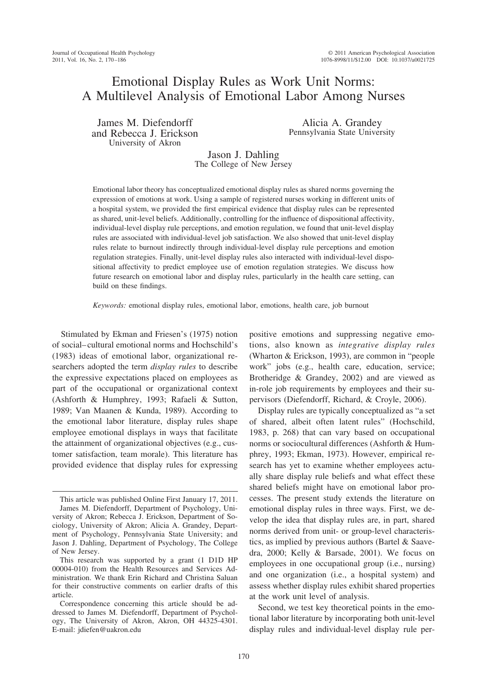# Emotional Display Rules as Work Unit Norms: A Multilevel Analysis of Emotional Labor Among Nurses

James M. Diefendorff and Rebecca J. Erickson University of Akron

Alicia A. Grandey Pennsylvania State University

Jason J. Dahling The College of New Jersey

Emotional labor theory has conceptualized emotional display rules as shared norms governing the expression of emotions at work. Using a sample of registered nurses working in different units of a hospital system, we provided the first empirical evidence that display rules can be represented as shared, unit-level beliefs. Additionally, controlling for the influence of dispositional affectivity, individual-level display rule perceptions, and emotion regulation, we found that unit-level display rules are associated with individual-level job satisfaction. We also showed that unit-level display rules relate to burnout indirectly through individual-level display rule perceptions and emotion regulation strategies. Finally, unit-level display rules also interacted with individual-level dispositional affectivity to predict employee use of emotion regulation strategies. We discuss how future research on emotional labor and display rules, particularly in the health care setting, can build on these findings.

*Keywords:* emotional display rules, emotional labor, emotions, health care, job burnout

Stimulated by Ekman and Friesen's (1975) notion of social– cultural emotional norms and Hochschild's (1983) ideas of emotional labor, organizational researchers adopted the term *display rules* to describe the expressive expectations placed on employees as part of the occupational or organizational context (Ashforth & Humphrey, 1993; Rafaeli & Sutton, 1989; Van Maanen & Kunda, 1989). According to the emotional labor literature, display rules shape employee emotional displays in ways that facilitate the attainment of organizational objectives (e.g., customer satisfaction, team morale). This literature has provided evidence that display rules for expressing positive emotions and suppressing negative emotions, also known as *integrative display rules* (Wharton & Erickson, 1993), are common in "people work" jobs (e.g., health care, education, service; Brotheridge & Grandey, 2002) and are viewed as in-role job requirements by employees and their supervisors (Diefendorff, Richard, & Croyle, 2006).

Display rules are typically conceptualized as "a set of shared, albeit often latent rules" (Hochschild, 1983, p. 268) that can vary based on occupational norms or sociocultural differences (Ashforth & Humphrey, 1993; Ekman, 1973). However, empirical research has yet to examine whether employees actually share display rule beliefs and what effect these shared beliefs might have on emotional labor processes. The present study extends the literature on emotional display rules in three ways. First, we develop the idea that display rules are, in part, shared norms derived from unit- or group-level characteristics, as implied by previous authors (Bartel & Saavedra, 2000; Kelly & Barsade, 2001). We focus on employees in one occupational group (i.e., nursing) and one organization (i.e., a hospital system) and assess whether display rules exhibit shared properties at the work unit level of analysis.

Second, we test key theoretical points in the emotional labor literature by incorporating both unit-level display rules and individual-level display rule per-

This article was published Online First January 17, 2011. James M. Diefendorff, Department of Psychology, University of Akron; Rebecca J. Erickson, Department of Sociology, University of Akron; Alicia A. Grandey, Department of Psychology, Pennsylvania State University; and Jason J. Dahling, Department of Psychology, The College of New Jersey.

This research was supported by a grant (1 D1D HP 00004-010) from the Health Resources and Services Administration. We thank Erin Richard and Christina Saluan for their constructive comments on earlier drafts of this article.

Correspondence concerning this article should be addressed to James M. Diefendorff, Department of Psychology, The University of Akron, Akron, OH 44325-4301. E-mail: jdiefen@uakron.edu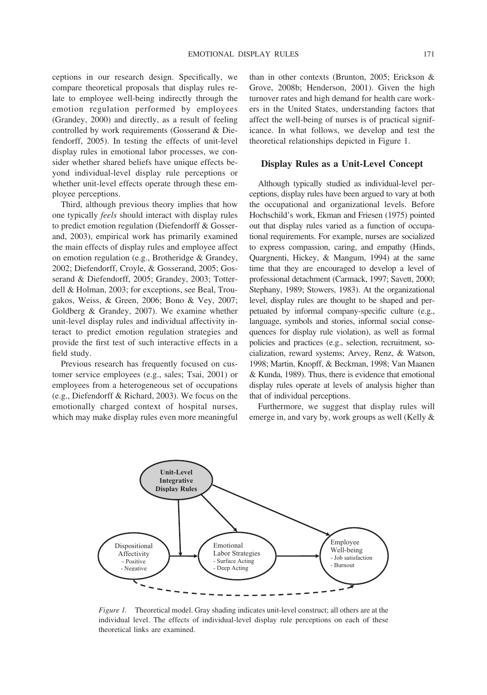ceptions in our research design. Specifically, we compare theoretical proposals that display rules relate to employee well-being indirectly through the emotion regulation performed by employees (Grandey, 2000) and directly, as a result of feeling controlled by work requirements (Gosserand & Diefendorff, 2005). In testing the effects of unit-level display rules in emotional labor processes, we consider whether shared beliefs have unique effects beyond individual-level display rule perceptions or whether unit-level effects operate through these employee perceptions.

Third, although previous theory implies that how one typically *feels* should interact with display rules to predict emotion regulation (Diefendorff & Gosserand, 2003), empirical work has primarily examined the main effects of display rules and employee affect on emotion regulation (e.g., Brotheridge & Grandey, 2002; Diefendorff, Croyle, & Gosserand, 2005; Gosserand & Diefendorff, 2005; Grandey, 2003; Totterdell & Holman, 2003; for exceptions, see Beal, Trougakos, Weiss, & Green, 2006; Bono & Vey, 2007; Goldberg & Grandey, 2007). We examine whether unit-level display rules and individual affectivity interact to predict emotion regulation strategies and provide the first test of such interactive effects in a field study.

Previous research has frequently focused on customer service employees (e.g., sales; Tsai, 2001) or employees from a heterogeneous set of occupations (e.g., Diefendorff & Richard, 2003). We focus on the emotionally charged context of hospital nurses, which may make display rules even more meaningful than in other contexts (Brunton, 2005; Erickson & Grove, 2008b; Henderson, 2001). Given the high turnover rates and high demand for health care workers in the United States, understanding factors that affect the well-being of nurses is of practical significance. In what follows, we develop and test the theoretical relationships depicted in Figure 1.

### **Display Rules as a Unit-Level Concept**

Although typically studied as individual-level perceptions, display rules have been argued to vary at both the occupational and organizational levels. Before Hochschild's work, Ekman and Friesen (1975) pointed out that display rules varied as a function of occupational requirements. For example, nurses are socialized to express compassion, caring, and empathy (Hinds, Quargnenti, Hickey, & Mangum, 1994) at the same time that they are encouraged to develop a level of professional detachment (Carmack, 1997; Savett, 2000; Stephany, 1989; Stowers, 1983). At the organizational level, display rules are thought to be shaped and perpetuated by informal company-specific culture (e.g., language, symbols and stories, informal social consequences for display rule violation), as well as formal policies and practices (e.g., selection, recruitment, socialization, reward systems; Arvey, Renz, & Watson, 1998; Martin, Knopff, & Beckman, 1998; Van Maanen & Kunda, 1989). Thus, there is evidence that emotional display rules operate at levels of analysis higher than that of individual perceptions.

Furthermore, we suggest that display rules will emerge in, and vary by, work groups as well (Kelly &



*Figure 1.* Theoretical model. Gray shading indicates unit-level construct; all others are at the individual level. The effects of individual-level display rule perceptions on each of these theoretical links are examined.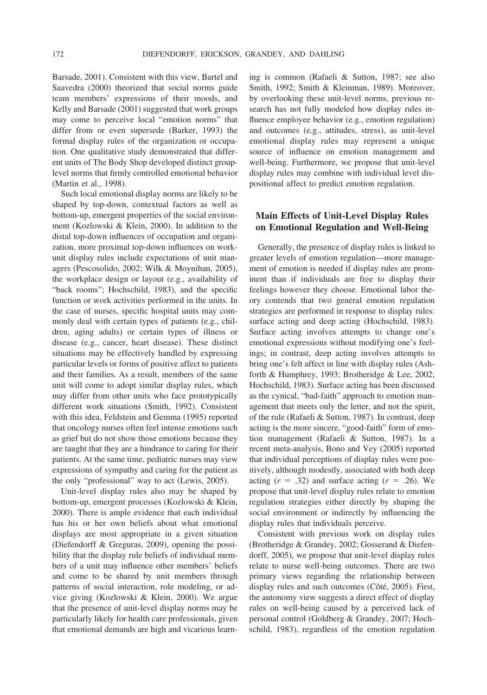Barsade, 2001). Consistent with this view, Bartel and Saavedra (2000) theorized that social norms guide team members' expressions of their moods, and Kelly and Barsade (2001) suggested that work groups may come to perceive local "emotion norms" that differ from or even supersede (Barker, 1993) the formal display rules of the organization or occupation. One qualitative study demonstrated that different units of The Body Shop developed distinct grouplevel norms that firmly controlled emotional behavior (Martin et al., 1998).

Such local emotional display norms are likely to be shaped by top-down, contextual factors as well as bottom-up, emergent properties of the social environment (Kozlowski & Klein, 2000). In addition to the distal top-down influences of occupation and organization, more proximal top-down influences on workunit display rules include expectations of unit managers (Pescosolido, 2002; Wilk & Moynihan, 2005), the workplace design or layout (e.g., availability of "back rooms"; Hochschild, 1983), and the specific function or work activities performed in the units. In the case of nurses, specific hospital units may commonly deal with certain types of patients (e.g., children, aging adults) or certain types of illness or disease (e.g., cancer, heart disease). These distinct situations may be effectively handled by expressing particular levels or forms of positive affect to patients and their families. As a result, members of the same unit will come to adopt similar display rules, which may differ from other units who face prototypically different work situations (Smith, 1992). Consistent with this idea, Feldstein and Gemma (1995) reported that oncology nurses often feel intense emotions such as grief but do not show those emotions because they are taught that they are a hindrance to caring for their patients. At the same time, pediatric nurses may view expressions of sympathy and caring for the patient as the only "professional" way to act (Lewis, 2005).

Unit-level display rules also may be shaped by bottom-up, emergent processes (Kozlowski & Klein, 2000). There is ample evidence that each individual has his or her own beliefs about what emotional displays are most appropriate in a given situation (Diefendorff & Greguras, 2009), opening the possibility that the display rule beliefs of individual members of a unit may influence other members' beliefs and come to be shared by unit members through patterns of social interaction, role modeling, or advice giving (Kozlowski & Klein, 2000). We argue that the presence of unit-level display norms may be particularly likely for health care professionals, given that emotional demands are high and vicarious learning is common (Rafaeli & Sutton, 1987; see also Smith, 1992; Smith & Kleinman, 1989). Moreover, by overlooking these unit-level norms, previous research has not fully modeled how display rules influence employee behavior (e.g., emotion regulation) and outcomes (e.g., attitudes, stress), as unit-level emotional display rules may represent a unique source of influence on emotion management and well-being. Furthermore, we propose that unit-level display rules may combine with individual level dispositional affect to predict emotion regulation.

## **Main Effects of Unit-Level Display Rules on Emotional Regulation and Well-Being**

Generally, the presence of display rules is linked to greater levels of emotion regulation—more management of emotion is needed if display rules are prominent than if individuals are free to display their feelings however they choose. Emotional labor theory contends that two general emotion regulation strategies are performed in response to display rules: surface acting and deep acting (Hochschild, 1983). Surface acting involves attempts to change one's emotional expressions without modifying one's feelings; in contrast, deep acting involves attempts to bring one's felt affect in line with display rules (Ashforth & Humphrey, 1993; Brotheridge & Lee, 2002; Hochschild, 1983). Surface acting has been discussed as the cynical, "bad-faith" approach to emotion management that meets only the letter, and not the spirit, of the rule (Rafaeli & Sutton, 1987). In contrast, deep acting is the more sincere, "good-faith" form of emotion management (Rafaeli & Sutton, 1987). In a recent meta-analysis, Bono and Vey (2005) reported that individual perceptions of display rules were positively, although modestly, associated with both deep acting  $(r = .32)$  and surface acting  $(r = .26)$ . We propose that unit-level display rules relate to emotion regulation strategies either directly by shaping the social environment or indirectly by influencing the display rules that individuals perceive.

Consistent with previous work on display rules (Brotheridge & Grandey, 2002; Gosserand & Diefendorff, 2005), we propose that unit-level display rules relate to nurse well-being outcomes. There are two primary views regarding the relationship between display rules and such outcomes (Côté, 2005). First, the autonomy view suggests a direct effect of display rules on well-being caused by a perceived lack of personal control (Goldberg & Grandey, 2007; Hochschild, 1983), regardless of the emotion regulation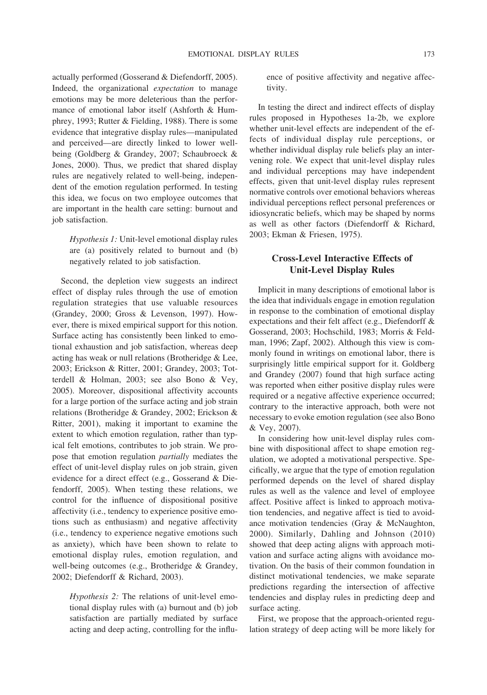actually performed (Gosserand & Diefendorff, 2005). Indeed, the organizational *expectation* to manage emotions may be more deleterious than the performance of emotional labor itself (Ashforth & Humphrey, 1993; Rutter & Fielding, 1988). There is some evidence that integrative display rules—manipulated and perceived—are directly linked to lower wellbeing (Goldberg & Grandey, 2007; Schaubroeck & Jones, 2000). Thus, we predict that shared display rules are negatively related to well-being, independent of the emotion regulation performed. In testing this idea, we focus on two employee outcomes that are important in the health care setting: burnout and job satisfaction.

*Hypothesis 1:* Unit-level emotional display rules are (a) positively related to burnout and (b) negatively related to job satisfaction.

Second, the depletion view suggests an indirect effect of display rules through the use of emotion regulation strategies that use valuable resources (Grandey, 2000; Gross & Levenson, 1997). However, there is mixed empirical support for this notion. Surface acting has consistently been linked to emotional exhaustion and job satisfaction, whereas deep acting has weak or null relations (Brotheridge & Lee, 2003; Erickson & Ritter, 2001; Grandey, 2003; Totterdell & Holman, 2003; see also Bono & Vey, 2005). Moreover, dispositional affectivity accounts for a large portion of the surface acting and job strain relations (Brotheridge & Grandey, 2002; Erickson & Ritter, 2001), making it important to examine the extent to which emotion regulation, rather than typical felt emotions, contributes to job strain. We propose that emotion regulation *partially* mediates the effect of unit-level display rules on job strain, given evidence for a direct effect (e.g., Gosserand & Diefendorff, 2005). When testing these relations, we control for the influence of dispositional positive affectivity (i.e., tendency to experience positive emotions such as enthusiasm) and negative affectivity (i.e., tendency to experience negative emotions such as anxiety), which have been shown to relate to emotional display rules, emotion regulation, and well-being outcomes (e.g., Brotheridge & Grandey, 2002; Diefendorff & Richard, 2003).

*Hypothesis 2:* The relations of unit-level emotional display rules with (a) burnout and (b) job satisfaction are partially mediated by surface acting and deep acting, controlling for the influence of positive affectivity and negative affectivity.

In testing the direct and indirect effects of display rules proposed in Hypotheses 1a-2b, we explore whether unit-level effects are independent of the effects of individual display rule perceptions, or whether individual display rule beliefs play an intervening role. We expect that unit-level display rules and individual perceptions may have independent effects, given that unit-level display rules represent normative controls over emotional behaviors whereas individual perceptions reflect personal preferences or idiosyncratic beliefs, which may be shaped by norms as well as other factors (Diefendorff & Richard, 2003; Ekman & Friesen, 1975).

## **Cross-Level Interactive Effects of Unit-Level Display Rules**

Implicit in many descriptions of emotional labor is the idea that individuals engage in emotion regulation in response to the combination of emotional display expectations and their felt affect (e.g., Diefendorff & Gosserand, 2003; Hochschild, 1983; Morris & Feldman, 1996; Zapf, 2002). Although this view is commonly found in writings on emotional labor, there is surprisingly little empirical support for it. Goldberg and Grandey (2007) found that high surface acting was reported when either positive display rules were required or a negative affective experience occurred; contrary to the interactive approach, both were not necessary to evoke emotion regulation (see also Bono & Vey, 2007).

In considering how unit-level display rules combine with dispositional affect to shape emotion regulation, we adopted a motivational perspective. Specifically, we argue that the type of emotion regulation performed depends on the level of shared display rules as well as the valence and level of employee affect. Positive affect is linked to approach motivation tendencies, and negative affect is tied to avoidance motivation tendencies (Gray & McNaughton, 2000). Similarly, Dahling and Johnson (2010) showed that deep acting aligns with approach motivation and surface acting aligns with avoidance motivation. On the basis of their common foundation in distinct motivational tendencies, we make separate predictions regarding the intersection of affective tendencies and display rules in predicting deep and surface acting.

First, we propose that the approach-oriented regulation strategy of deep acting will be more likely for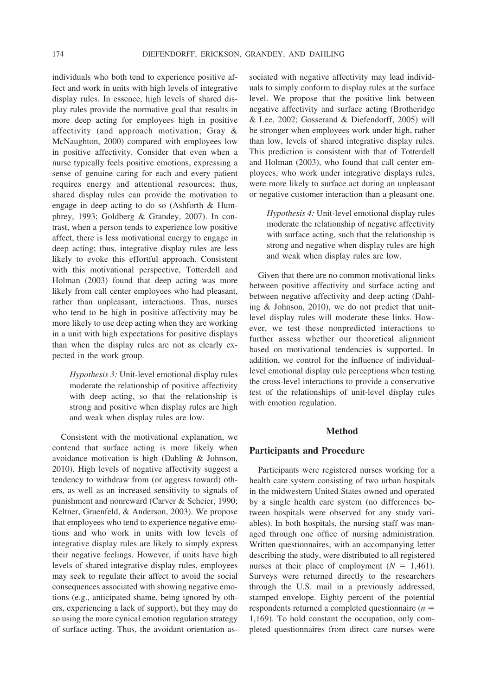individuals who both tend to experience positive affect and work in units with high levels of integrative display rules. In essence, high levels of shared display rules provide the normative goal that results in more deep acting for employees high in positive affectivity (and approach motivation; Gray & McNaughton, 2000) compared with employees low in positive affectivity. Consider that even when a nurse typically feels positive emotions, expressing a sense of genuine caring for each and every patient requires energy and attentional resources; thus, shared display rules can provide the motivation to engage in deep acting to do so (Ashforth & Humphrey, 1993; Goldberg & Grandey, 2007). In contrast, when a person tends to experience low positive affect, there is less motivational energy to engage in deep acting; thus, integrative display rules are less likely to evoke this effortful approach. Consistent with this motivational perspective, Totterdell and Holman (2003) found that deep acting was more likely from call center employees who had pleasant, rather than unpleasant, interactions. Thus, nurses who tend to be high in positive affectivity may be more likely to use deep acting when they are working in a unit with high expectations for positive displays than when the display rules are not as clearly expected in the work group.

*Hypothesis 3:* Unit-level emotional display rules moderate the relationship of positive affectivity with deep acting, so that the relationship is strong and positive when display rules are high and weak when display rules are low.

Consistent with the motivational explanation, we contend that surface acting is more likely when avoidance motivation is high (Dahling & Johnson, 2010). High levels of negative affectivity suggest a tendency to withdraw from (or aggress toward) others, as well as an increased sensitivity to signals of punishment and nonreward (Carver & Scheier, 1990; Keltner, Gruenfeld, & Anderson, 2003). We propose that employees who tend to experience negative emotions and who work in units with low levels of integrative display rules are likely to simply express their negative feelings. However, if units have high levels of shared integrative display rules, employees may seek to regulate their affect to avoid the social consequences associated with showing negative emotions (e.g., anticipated shame, being ignored by others, experiencing a lack of support), but they may do so using the more cynical emotion regulation strategy of surface acting. Thus, the avoidant orientation as-

sociated with negative affectivity may lead individuals to simply conform to display rules at the surface level. We propose that the positive link between negative affectivity and surface acting (Brotheridge & Lee, 2002; Gosserand & Diefendorff, 2005) will be stronger when employees work under high, rather than low, levels of shared integrative display rules. This prediction is consistent with that of Totterdell and Holman (2003), who found that call center employees, who work under integrative displays rules, were more likely to surface act during an unpleasant or negative customer interaction than a pleasant one.

*Hypothesis 4:* Unit-level emotional display rules moderate the relationship of negative affectivity with surface acting, such that the relationship is strong and negative when display rules are high and weak when display rules are low.

Given that there are no common motivational links between positive affectivity and surface acting and between negative affectivity and deep acting (Dahling & Johnson, 2010), we do not predict that unitlevel display rules will moderate these links. However, we test these nonpredicted interactions to further assess whether our theoretical alignment based on motivational tendencies is supported. In addition, we control for the influence of individuallevel emotional display rule perceptions when testing the cross-level interactions to provide a conservative test of the relationships of unit-level display rules with emotion regulation.

### **Method**

#### **Participants and Procedure**

Participants were registered nurses working for a health care system consisting of two urban hospitals in the midwestern United States owned and operated by a single health care system (no differences between hospitals were observed for any study variables). In both hospitals, the nursing staff was managed through one office of nursing administration. Written questionnaires, with an accompanying letter describing the study, were distributed to all registered nurses at their place of employment  $(N = 1,461)$ . Surveys were returned directly to the researchers through the U.S. mail in a previously addressed, stamped envelope. Eighty percent of the potential respondents returned a completed questionnaire (*n* 1,169). To hold constant the occupation, only completed questionnaires from direct care nurses were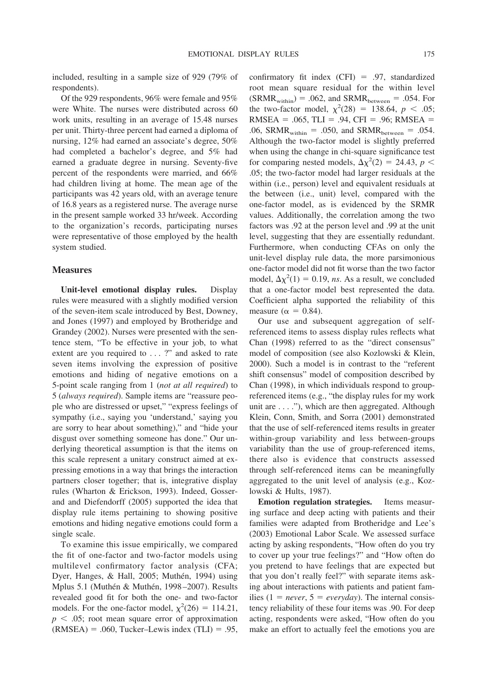included, resulting in a sample size of 929 (79% of respondents).

Of the 929 respondents, 96% were female and 95% were White. The nurses were distributed across 60 work units, resulting in an average of 15.48 nurses per unit. Thirty-three percent had earned a diploma of nursing, 12% had earned an associate's degree, 50% had completed a bachelor's degree, and 5% had earned a graduate degree in nursing. Seventy-five percent of the respondents were married, and 66% had children living at home. The mean age of the participants was 42 years old, with an average tenure of 16.8 years as a registered nurse. The average nurse in the present sample worked 33 hr/week. According to the organization's records, participating nurses were representative of those employed by the health system studied.

### **Measures**

**Unit-level emotional display rules.** Display rules were measured with a slightly modified version of the seven-item scale introduced by Best, Downey, and Jones (1997) and employed by Brotheridge and Grandey (2002). Nurses were presented with the sentence stem, "To be effective in your job, to what extent are you required to ... ?" and asked to rate seven items involving the expression of positive emotions and hiding of negative emotions on a 5-point scale ranging from 1 (*not at all required*) to 5 (*always required*). Sample items are "reassure people who are distressed or upset," "express feelings of sympathy (i.e., saying you 'understand,' saying you are sorry to hear about something)," and "hide your disgust over something someone has done." Our underlying theoretical assumption is that the items on this scale represent a unitary construct aimed at expressing emotions in a way that brings the interaction partners closer together; that is, integrative display rules (Wharton & Erickson, 1993). Indeed, Gosserand and Diefendorff (2005) supported the idea that display rule items pertaining to showing positive emotions and hiding negative emotions could form a single scale.

To examine this issue empirically, we compared the fit of one-factor and two-factor models using multilevel confirmatory factor analysis (CFA; Dyer, Hanges, & Hall, 2005; Muthén, 1994) using Mplus 5.1 (Muthén & Muthén, 1998-2007). Results revealed good fit for both the one- and two-factor models. For the one-factor model,  $\chi^2(26) = 114.21$ ,  $p < .05$ ; root mean square error of approximation  $(RMSEA) = .060$ , Tucker–Lewis index  $(TLI) = .95$ , confirmatory fit index  $(CFI) = .97$ , standardized root mean square residual for the within level  $(SRMR_{within}) = .062$ , and  $SRMR_{between} = .054$ . For the two-factor model,  $\chi^2(28) = 138.64$ ,  $p < .05$ ;  $RMSEA = .065$ , TLI = .94, CFI = .96; RMSEA = .06, SRMR<sub>within</sub> = .050, and SRMR<sub>between</sub> = .054. Although the two-factor model is slightly preferred when using the change in chi-square significance test for comparing nested models,  $\Delta \chi^2(2) = 24.43$ ,  $p <$ .05; the two-factor model had larger residuals at the within (i.e., person) level and equivalent residuals at the between (i.e., unit) level, compared with the one-factor model, as is evidenced by the SRMR values. Additionally, the correlation among the two factors was .92 at the person level and .99 at the unit level, suggesting that they are essentially redundant. Furthermore, when conducting CFAs on only the unit-level display rule data, the more parsimonious one-factor model did not fit worse than the two factor model,  $\Delta \chi^2(1) = 0.19$ , *ns*. As a result, we concluded that a one-factor model best represented the data. Coefficient alpha supported the reliability of this measure ( $\alpha = 0.84$ ).

Our use and subsequent aggregation of selfreferenced items to assess display rules reflects what Chan (1998) referred to as the "direct consensus" model of composition (see also Kozlowski & Klein, 2000). Such a model is in contrast to the "referent shift consensus" model of composition described by Chan (1998), in which individuals respond to groupreferenced items (e.g., "the display rules for my work unit are . . . ."), which are then aggregated. Although Klein, Conn, Smith, and Sorra (2001) demonstrated that the use of self-referenced items results in greater within-group variability and less between-groups variability than the use of group-referenced items, there also is evidence that constructs assessed through self-referenced items can be meaningfully aggregated to the unit level of analysis (e.g., Kozlowski & Hults, 1987).

**Emotion regulation strategies.** Items measuring surface and deep acting with patients and their families were adapted from Brotheridge and Lee's (2003) Emotional Labor Scale. We assessed surface acting by asking respondents, "How often do you try to cover up your true feelings?" and "How often do you pretend to have feelings that are expected but that you don't really feel?" with separate items asking about interactions with patients and patient families (1 = *never*,  $5 = \text{everyday}$ ). The internal consistency reliability of these four items was .90. For deep acting, respondents were asked, "How often do you make an effort to actually feel the emotions you are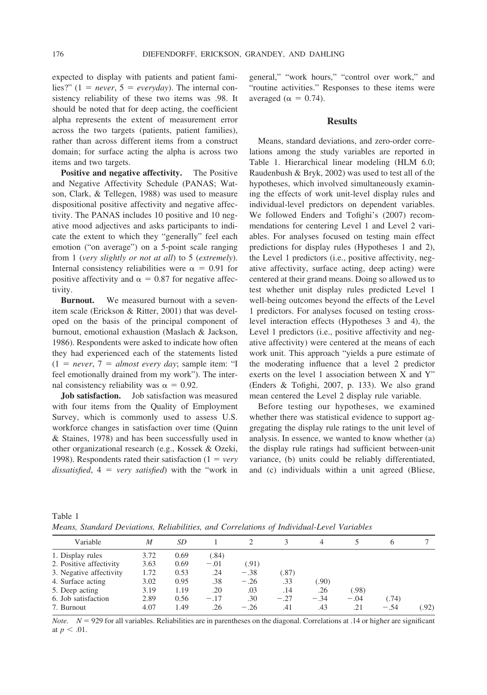expected to display with patients and patient families?"  $(1 = never, 5 = every day)$ . The internal consistency reliability of these two items was .98. It should be noted that for deep acting, the coefficient alpha represents the extent of measurement error across the two targets (patients, patient families), rather than across different items from a construct domain; for surface acting the alpha is across two items and two targets.

**Positive and negative affectivity.** The Positive and Negative Affectivity Schedule (PANAS; Watson, Clark, & Tellegen, 1988) was used to measure dispositional positive affectivity and negative affectivity. The PANAS includes 10 positive and 10 negative mood adjectives and asks participants to indicate the extent to which they "generally" feel each emotion ("on average") on a 5-point scale ranging from 1 (*very slightly or not at all*) to 5 (*extremely*). Internal consistency reliabilities were  $\alpha = 0.91$  for positive affectivity and  $\alpha = 0.87$  for negative affectivity.

**Burnout.** We measured burnout with a sevenitem scale (Erickson & Ritter, 2001) that was developed on the basis of the principal component of burnout, emotional exhaustion (Maslach & Jackson, 1986). Respondents were asked to indicate how often they had experienced each of the statements listed  $(1 = never, 7 = almost every day; sample item: "I)$ feel emotionally drained from my work"). The internal consistency reliability was  $\alpha = 0.92$ .

**Job satisfaction.** Job satisfaction was measured with four items from the Quality of Employment Survey, which is commonly used to assess U.S. workforce changes in satisfaction over time (Quinn & Staines, 1978) and has been successfully used in other organizational research (e.g., Kossek & Ozeki, 1998). Respondents rated their satisfaction  $(1 = \text{very})$  $dissatisfied$ ,  $4 = very satisfied$  with the "work in

general," "work hours," "control over work," and "routine activities." Responses to these items were averaged ( $\alpha = 0.74$ ).

### **Results**

Means, standard deviations, and zero-order correlations among the study variables are reported in Table 1. Hierarchical linear modeling (HLM 6.0; Raudenbush & Bryk, 2002) was used to test all of the hypotheses, which involved simultaneously examining the effects of work unit-level display rules and individual-level predictors on dependent variables. We followed Enders and Tofighi's (2007) recommendations for centering Level 1 and Level 2 variables. For analyses focused on testing main effect predictions for display rules (Hypotheses 1 and 2), the Level 1 predictors (i.e., positive affectivity, negative affectivity, surface acting, deep acting) were centered at their grand means. Doing so allowed us to test whether unit display rules predicted Level 1 well-being outcomes beyond the effects of the Level 1 predictors. For analyses focused on testing crosslevel interaction effects (Hypotheses 3 and 4), the Level 1 predictors (i.e., positive affectivity and negative affectivity) were centered at the means of each work unit. This approach "yields a pure estimate of the moderating influence that a level 2 predictor exerts on the level 1 association between X and Y" (Enders & Tofighi, 2007, p. 133). We also grand mean centered the Level 2 display rule variable.

Before testing our hypotheses, we examined whether there was statistical evidence to support aggregating the display rule ratings to the unit level of analysis. In essence, we wanted to know whether (a) the display rule ratings had sufficient between-unit variance, (b) units could be reliably differentiated, and (c) individuals within a unit agreed (Bliese,

| Table 1 |  |  |  |                                                                                           |  |
|---------|--|--|--|-------------------------------------------------------------------------------------------|--|
|         |  |  |  | Means, Standard Deviations, Reliabilities, and Correlations of Individual-Level Variables |  |

| Variable                | M    | SD   |        |        |        | 4      |        | h      |       |
|-------------------------|------|------|--------|--------|--------|--------|--------|--------|-------|
| 1. Display rules        | 3.72 | 0.69 | (.84)  |        |        |        |        |        |       |
| 2. Positive affectivity | 3.63 | 0.69 | $-.01$ | (.91)  |        |        |        |        |       |
| 3. Negative affectivity | 1.72 | 0.53 | .24    | $-.38$ | (.87)  |        |        |        |       |
| 4. Surface acting       | 3.02 | 0.95 | .38    | $-.26$ | .33    | (.90)  |        |        |       |
| 5. Deep acting          | 3.19 | 1.19 | .20    | .03    | .14    | .26    | (.98)  |        |       |
| 6. Job satisfaction     | 2.89 | 0.56 | $-.17$ | .30    | $-.27$ | $-.34$ | $-.04$ | (.74)  |       |
| 7. Burnout              | 4.07 | 1.49 | .26    | $-.26$ | .41    | .43    | .21    | $-.54$ | (.92) |

*Note.*  $N = 929$  for all variables. Reliabilities are in parentheses on the diagonal. Correlations at .14 or higher are significant at  $p < .01$ .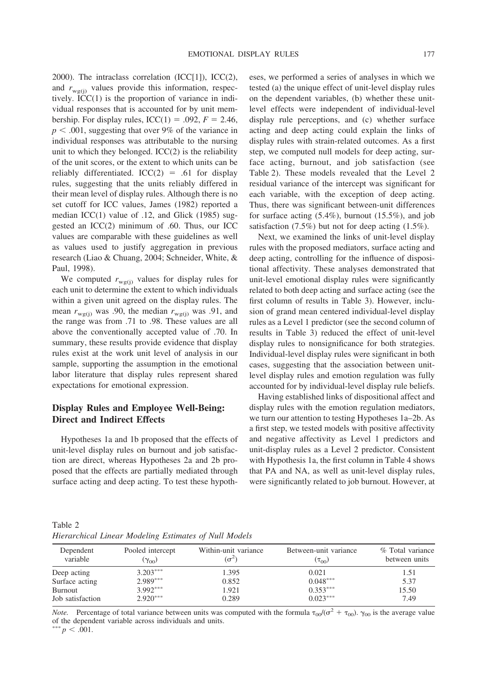2000). The intraclass correlation  $(ICC[1])$ ,  $ICC(2)$ , and  $r_{\text{wg}(i)}$  values provide this information, respectively. ICC(1) is the proportion of variance in individual responses that is accounted for by unit membership. For display rules,  $\text{ICC}(1) = .092$ ,  $F = 2.46$ ,  $p < .001$ , suggesting that over 9% of the variance in individual responses was attributable to the nursing unit to which they belonged. ICC(2) is the reliability of the unit scores, or the extent to which units can be reliably differentiated.  $ICC(2) = .61$  for display rules, suggesting that the units reliably differed in their mean level of display rules. Although there is no set cutoff for ICC values, James (1982) reported a median ICC(1) value of .12, and Glick (1985) suggested an ICC(2) minimum of .60. Thus, our ICC values are comparable with these guidelines as well as values used to justify aggregation in previous research (Liao & Chuang, 2004; Schneider, White, & Paul, 1998).

We computed  $r_{\text{wg}(i)}$  values for display rules for each unit to determine the extent to which individuals within a given unit agreed on the display rules. The mean  $r_{\text{wg}(i)}$  was .90, the median  $r_{\text{wg}(i)}$  was .91, and the range was from .71 to .98. These values are all above the conventionally accepted value of .70. In summary, these results provide evidence that display rules exist at the work unit level of analysis in our sample, supporting the assumption in the emotional labor literature that display rules represent shared expectations for emotional expression.

### **Display Rules and Employee Well-Being: Direct and Indirect Effects**

Hypotheses 1a and 1b proposed that the effects of unit-level display rules on burnout and job satisfaction are direct, whereas Hypotheses 2a and 2b proposed that the effects are partially mediated through surface acting and deep acting. To test these hypotheses, we performed a series of analyses in which we tested (a) the unique effect of unit-level display rules on the dependent variables, (b) whether these unitlevel effects were independent of individual-level display rule perceptions, and (c) whether surface acting and deep acting could explain the links of display rules with strain-related outcomes. As a first step, we computed null models for deep acting, surface acting, burnout, and job satisfaction (see Table 2). These models revealed that the Level 2 residual variance of the intercept was significant for each variable, with the exception of deep acting. Thus, there was significant between-unit differences for surface acting (5.4%), burnout (15.5%), and job satisfaction (7.5%) but not for deep acting (1.5%).

Next, we examined the links of unit-level display rules with the proposed mediators, surface acting and deep acting, controlling for the influence of dispositional affectivity. These analyses demonstrated that unit-level emotional display rules were significantly related to both deep acting and surface acting (see the first column of results in Table 3). However, inclusion of grand mean centered individual-level display rules as a Level 1 predictor (see the second column of results in Table 3) reduced the effect of unit-level display rules to nonsignificance for both strategies. Individual-level display rules were significant in both cases, suggesting that the association between unitlevel display rules and emotion regulation was fully accounted for by individual-level display rule beliefs.

Having established links of dispositional affect and display rules with the emotion regulation mediators, we turn our attention to testing Hypotheses 1a–2b. As a first step, we tested models with positive affectivity and negative affectivity as Level 1 predictors and unit-display rules as a Level 2 predictor. Consistent with Hypothesis 1a, the first column in Table 4 shows that PA and NA, as well as unit-level display rules, were significantly related to job burnout. However, at

Table 2 *Hierarchical Linear Modeling Estimates of Null Models*

| Dependent<br>variable | Pooled intercept<br>$(\gamma_{00})$ | Within-unit variance<br>$(\sigma^2)$ | Between-unit variance<br>$(\tau_{00})$ | % Total variance<br>between units |
|-----------------------|-------------------------------------|--------------------------------------|----------------------------------------|-----------------------------------|
| Deep acting           | $3.203***$                          | 1.395                                | 0.021                                  | 1.51                              |
| Surface acting        | $2.989***$                          | 0.852                                | $0.048***$                             | 5.37                              |
| Burnout               | $3.992***$                          | 1.921                                | $0.353***$                             | 15.50                             |
| Job satisfaction      | $2.920***$                          | 0.289                                | $0.023***$                             | 7.49                              |

*Note.* Percentage of total variance between units was computed with the formula  $\tau_{00}/(\sigma^2 + \tau_{00})$ .  $\gamma_{00}$  is the average value of the dependent variable across individuals and units.

 $p^*$  *p* < .001.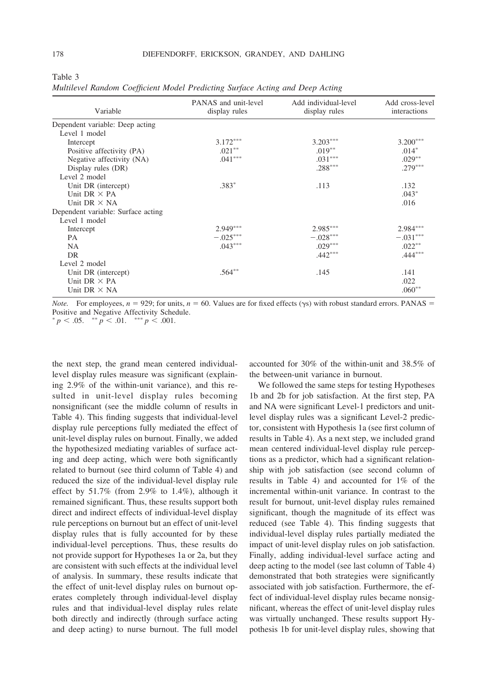|--|--|

*Multilevel Random Coefficient Model Predicting Surface Acting and Deep Acting*

| Variable                           | PANAS and unit-level<br>display rules | Add individual-level<br>display rules | Add cross-level<br>interactions |
|------------------------------------|---------------------------------------|---------------------------------------|---------------------------------|
| Dependent variable: Deep acting    |                                       |                                       |                                 |
| Level 1 model                      |                                       |                                       |                                 |
| Intercept                          | $3.172***$                            | $3.203***$                            | $3.200***$                      |
| Positive affectivity (PA)          | $.021***$                             | $.019***$                             | $.014*$                         |
| Negative affectivity (NA)          | $.041***$                             | $.031***$                             | $.029***$                       |
| Display rules (DR)                 |                                       | $.288***$                             | $.279***$                       |
| Level 2 model                      |                                       |                                       |                                 |
| Unit DR (intercept)                | $.383*$                               | .113                                  | .132                            |
| Unit DR $\times$ PA                |                                       |                                       | $.043*$                         |
| Unit DR $\times$ NA                |                                       |                                       | .016                            |
| Dependent variable: Surface acting |                                       |                                       |                                 |
| Level 1 model                      |                                       |                                       |                                 |
| Intercept                          | $2.949***$                            | 2.985***                              | 2.984***                        |
| <b>PA</b>                          | $-.025***$                            | $-.028***$                            | $-.031***$                      |
| <b>NA</b>                          | $.043***$                             | $.029***$                             | $.022***$                       |
| DR                                 |                                       | $.442***$                             | $.444***$                       |
| Level 2 model                      |                                       |                                       |                                 |
| Unit DR (intercept)                | $.564***$                             | .145                                  | .141                            |
| Unit DR $\times$ PA                |                                       |                                       | .022                            |
| Unit DR $\times$ NA                |                                       |                                       | $.060**$                        |

*Note.* For employees,  $n = 929$ ; for units,  $n = 60$ . Values are for fixed effects ( $\gamma s$ ) with robust standard errors. PANAS = Positive and Negative Affectivity Schedule.

 $p < .05.$   $\rightarrow p < .01.$   $\rightarrow p < .001.$ 

the next step, the grand mean centered individuallevel display rules measure was significant (explaining 2.9% of the within-unit variance), and this resulted in unit-level display rules becoming nonsignificant (see the middle column of results in Table 4). This finding suggests that individual-level display rule perceptions fully mediated the effect of unit-level display rules on burnout. Finally, we added the hypothesized mediating variables of surface acting and deep acting, which were both significantly related to burnout (see third column of Table 4) and reduced the size of the individual-level display rule effect by  $51.7\%$  (from 2.9% to 1.4%), although it remained significant. Thus, these results support both direct and indirect effects of individual-level display rule perceptions on burnout but an effect of unit-level display rules that is fully accounted for by these individual-level perceptions. Thus, these results do not provide support for Hypotheses 1a or 2a, but they are consistent with such effects at the individual level of analysis. In summary, these results indicate that the effect of unit-level display rules on burnout operates completely through individual-level display rules and that individual-level display rules relate both directly and indirectly (through surface acting and deep acting) to nurse burnout. The full model

accounted for 30% of the within-unit and 38.5% of the between-unit variance in burnout.

We followed the same steps for testing Hypotheses 1b and 2b for job satisfaction. At the first step, PA and NA were significant Level-1 predictors and unitlevel display rules was a significant Level-2 predictor, consistent with Hypothesis 1a (see first column of results in Table 4). As a next step, we included grand mean centered individual-level display rule perceptions as a predictor, which had a significant relationship with job satisfaction (see second column of results in Table 4) and accounted for 1% of the incremental within-unit variance. In contrast to the result for burnout, unit-level display rules remained significant, though the magnitude of its effect was reduced (see Table 4). This finding suggests that individual-level display rules partially mediated the impact of unit-level display rules on job satisfaction. Finally, adding individual-level surface acting and deep acting to the model (see last column of Table 4) demonstrated that both strategies were significantly associated with job satisfaction. Furthermore, the effect of individual-level display rules became nonsignificant, whereas the effect of unit-level display rules was virtually unchanged. These results support Hypothesis 1b for unit-level display rules, showing that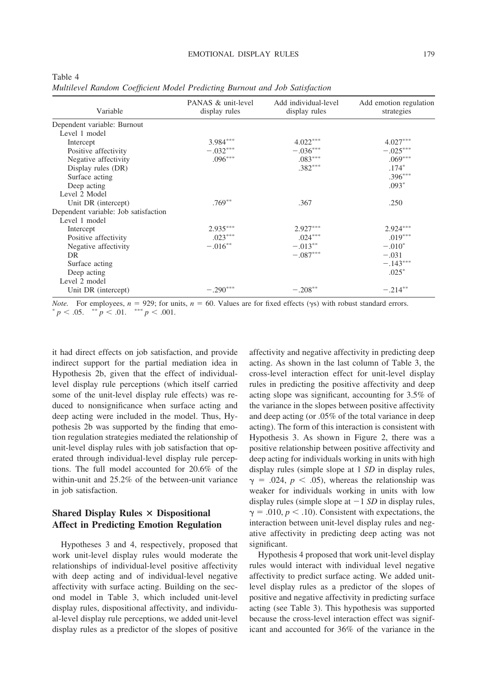|--|--|

*Multilevel Random Coefficient Model Predicting Burnout and Job Satisfaction*

| Variable                             | PANAS & unit-level<br>display rules | Add individual-level<br>display rules | Add emotion regulation<br>strategies |
|--------------------------------------|-------------------------------------|---------------------------------------|--------------------------------------|
| Dependent variable: Burnout          |                                     |                                       |                                      |
| Level 1 model                        |                                     |                                       |                                      |
| Intercept                            | $3.984***$                          | $4.022***$                            | $4.027***$                           |
| Positive affectivity                 | $-.032***$                          | $-.036***$                            | $-.025***$                           |
| Negative affectivity                 | $.096***$                           | $.083***$                             | $.069***$                            |
| Display rules (DR)                   |                                     | $.382***$                             | $.174*$                              |
| Surface acting                       |                                     |                                       | $.396***$                            |
| Deep acting                          |                                     |                                       | $.093*$                              |
| Level 2 Model                        |                                     |                                       |                                      |
| Unit DR (intercept)                  | $.769**$                            | .367                                  | .250                                 |
| Dependent variable: Job satisfaction |                                     |                                       |                                      |
| Level 1 model                        |                                     |                                       |                                      |
| Intercept                            | $2.935***$                          | $2.927***$                            | $2.924***$                           |
| Positive affectivity                 | $.023***$                           | $.024***$                             | $.019***$                            |
| Negative affectivity                 | $-.016**$                           | $-.013***$                            | $-.010*$                             |
| DR                                   |                                     | $-.087***$                            | $-.031$                              |
| Surface acting                       |                                     |                                       | $-.143***$                           |
| Deep acting                          |                                     |                                       | $.025*$                              |
| Level 2 model                        |                                     |                                       |                                      |
| Unit DR (intercept)                  | $-.290***$                          | $-.208**$                             | $-.214***$                           |

*Note.* For employees,  $n = 929$ ; for units,  $n = 60$ . Values are for fixed effects ( $\gamma s$ ) with robust standard errors. *p* < .05. <sup>\*\*</sup> *p* < .01. <sup>\*\*\*</sup> *p* < .001.

it had direct effects on job satisfaction, and provide indirect support for the partial mediation idea in Hypothesis 2b, given that the effect of individuallevel display rule perceptions (which itself carried some of the unit-level display rule effects) was reduced to nonsignificance when surface acting and deep acting were included in the model. Thus, Hypothesis 2b was supported by the finding that emotion regulation strategies mediated the relationship of unit-level display rules with job satisfaction that operated through individual-level display rule perceptions. The full model accounted for 20.6% of the within-unit and 25.2% of the between-unit variance in job satisfaction.

## **Shared Display Rules Dispositional Affect in Predicting Emotion Regulation**

Hypotheses 3 and 4, respectively, proposed that work unit-level display rules would moderate the relationships of individual-level positive affectivity with deep acting and of individual-level negative affectivity with surface acting. Building on the second model in Table 3, which included unit-level display rules, dispositional affectivity, and individual-level display rule perceptions, we added unit-level display rules as a predictor of the slopes of positive affectivity and negative affectivity in predicting deep acting. As shown in the last column of Table 3, the cross-level interaction effect for unit-level display rules in predicting the positive affectivity and deep acting slope was significant, accounting for 3.5% of the variance in the slopes between positive affectivity and deep acting (or .05% of the total variance in deep acting). The form of this interaction is consistent with Hypothesis 3. As shown in Figure 2, there was a positive relationship between positive affectivity and deep acting for individuals working in units with high display rules (simple slope at 1 *SD* in display rules,  $\gamma = .024$ ,  $p < .05$ ), whereas the relationship was weaker for individuals working in units with low display rules (simple slope at  $-1$  *SD* in display rules,  $\gamma = .010$ ,  $p < .10$ ). Consistent with expectations, the interaction between unit-level display rules and negative affectivity in predicting deep acting was not significant.

Hypothesis 4 proposed that work unit-level display rules would interact with individual level negative affectivity to predict surface acting. We added unitlevel display rules as a predictor of the slopes of positive and negative affectivity in predicting surface acting (see Table 3). This hypothesis was supported because the cross-level interaction effect was significant and accounted for 36% of the variance in the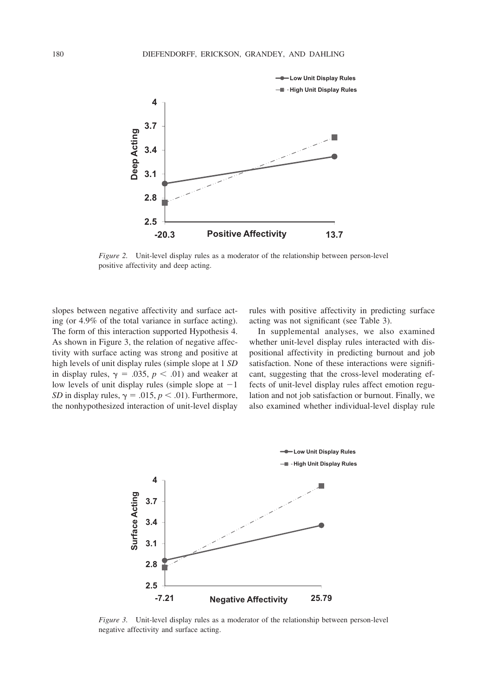

*Figure 2.* Unit-level display rules as a moderator of the relationship between person-level positive affectivity and deep acting.

slopes between negative affectivity and surface acting (or 4.9% of the total variance in surface acting). The form of this interaction supported Hypothesis 4. As shown in Figure 3, the relation of negative affectivity with surface acting was strong and positive at high levels of unit display rules (simple slope at 1 *SD* in display rules,  $\gamma = .035$ ,  $p < .01$ ) and weaker at low levels of unit display rules (simple slope at  $-1$ ) *SD* in display rules,  $\gamma = .015$ ,  $p < .01$ ). Furthermore, the nonhypothesized interaction of unit-level display rules with positive affectivity in predicting surface acting was not significant (see Table 3).

In supplemental analyses, we also examined whether unit-level display rules interacted with dispositional affectivity in predicting burnout and job satisfaction. None of these interactions were significant, suggesting that the cross-level moderating effects of unit-level display rules affect emotion regulation and not job satisfaction or burnout. Finally, we also examined whether individual-level display rule



*Figure 3.* Unit-level display rules as a moderator of the relationship between person-level negative affectivity and surface acting.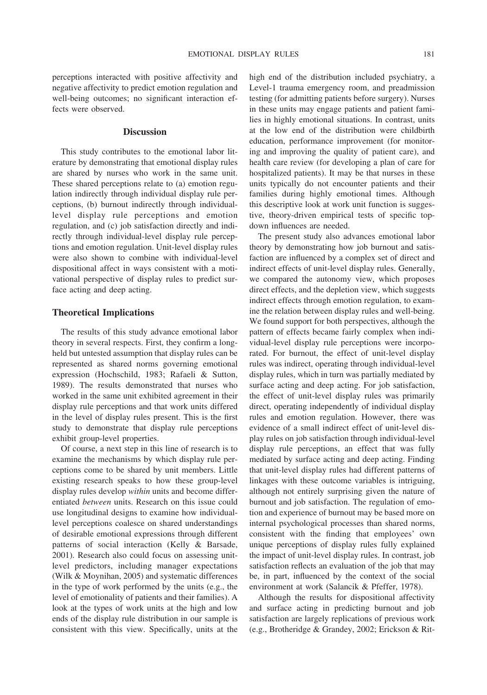perceptions interacted with positive affectivity and negative affectivity to predict emotion regulation and well-being outcomes; no significant interaction effects were observed.

### **Discussion**

This study contributes to the emotional labor literature by demonstrating that emotional display rules are shared by nurses who work in the same unit. These shared perceptions relate to (a) emotion regulation indirectly through individual display rule perceptions, (b) burnout indirectly through individuallevel display rule perceptions and emotion regulation, and (c) job satisfaction directly and indirectly through individual-level display rule perceptions and emotion regulation. Unit-level display rules were also shown to combine with individual-level dispositional affect in ways consistent with a motivational perspective of display rules to predict surface acting and deep acting.

### **Theoretical Implications**

The results of this study advance emotional labor theory in several respects. First, they confirm a longheld but untested assumption that display rules can be represented as shared norms governing emotional expression (Hochschild, 1983; Rafaeli & Sutton, 1989). The results demonstrated that nurses who worked in the same unit exhibited agreement in their display rule perceptions and that work units differed in the level of display rules present. This is the first study to demonstrate that display rule perceptions exhibit group-level properties.

Of course, a next step in this line of research is to examine the mechanisms by which display rule perceptions come to be shared by unit members. Little existing research speaks to how these group-level display rules develop *within* units and become differentiated *between* units. Research on this issue could use longitudinal designs to examine how individuallevel perceptions coalesce on shared understandings of desirable emotional expressions through different patterns of social interaction (Kelly & Barsade, 2001). Research also could focus on assessing unitlevel predictors, including manager expectations (Wilk & Moynihan, 2005) and systematic differences in the type of work performed by the units (e.g., the level of emotionality of patients and their families). A look at the types of work units at the high and low ends of the display rule distribution in our sample is consistent with this view. Specifically, units at the high end of the distribution included psychiatry, a Level-1 trauma emergency room, and preadmission testing (for admitting patients before surgery). Nurses in these units may engage patients and patient families in highly emotional situations. In contrast, units at the low end of the distribution were childbirth education, performance improvement (for monitoring and improving the quality of patient care), and health care review (for developing a plan of care for hospitalized patients). It may be that nurses in these units typically do not encounter patients and their families during highly emotional times. Although this descriptive look at work unit function is suggestive, theory-driven empirical tests of specific topdown influences are needed.

The present study also advances emotional labor theory by demonstrating how job burnout and satisfaction are influenced by a complex set of direct and indirect effects of unit-level display rules. Generally, we compared the autonomy view, which proposes direct effects, and the depletion view, which suggests indirect effects through emotion regulation, to examine the relation between display rules and well-being. We found support for both perspectives, although the pattern of effects became fairly complex when individual-level display rule perceptions were incorporated. For burnout, the effect of unit-level display rules was indirect, operating through individual-level display rules, which in turn was partially mediated by surface acting and deep acting. For job satisfaction, the effect of unit-level display rules was primarily direct, operating independently of individual display rules and emotion regulation. However, there was evidence of a small indirect effect of unit-level display rules on job satisfaction through individual-level display rule perceptions, an effect that was fully mediated by surface acting and deep acting. Finding that unit-level display rules had different patterns of linkages with these outcome variables is intriguing, although not entirely surprising given the nature of burnout and job satisfaction. The regulation of emotion and experience of burnout may be based more on internal psychological processes than shared norms, consistent with the finding that employees' own unique perceptions of display rules fully explained the impact of unit-level display rules. In contrast, job satisfaction reflects an evaluation of the job that may be, in part, influenced by the context of the social environment at work (Salancik & Pfeffer, 1978).

Although the results for dispositional affectivity and surface acting in predicting burnout and job satisfaction are largely replications of previous work (e.g., Brotheridge & Grandey, 2002; Erickson & Rit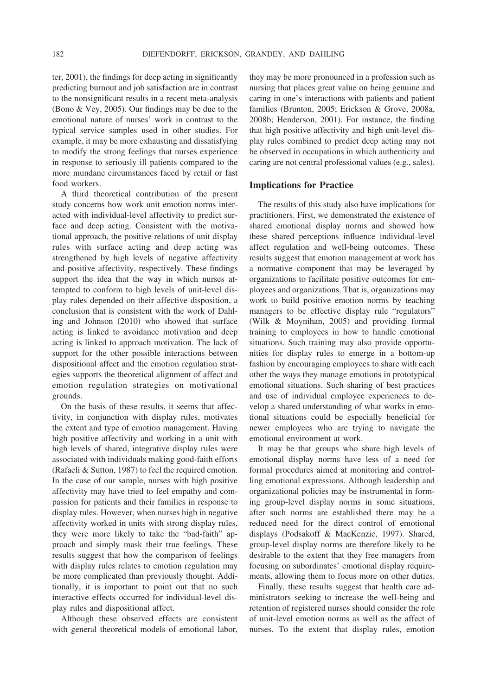ter, 2001), the findings for deep acting in significantly predicting burnout and job satisfaction are in contrast to the nonsignificant results in a recent meta-analysis (Bono & Vey, 2005). Our findings may be due to the emotional nature of nurses' work in contrast to the typical service samples used in other studies. For example, it may be more exhausting and dissatisfying to modify the strong feelings that nurses experience in response to seriously ill patients compared to the more mundane circumstances faced by retail or fast food workers.

A third theoretical contribution of the present study concerns how work unit emotion norms interacted with individual-level affectivity to predict surface and deep acting. Consistent with the motivational approach, the positive relations of unit display rules with surface acting and deep acting was strengthened by high levels of negative affectivity and positive affectivity, respectively. These findings support the idea that the way in which nurses attempted to conform to high levels of unit-level display rules depended on their affective disposition, a conclusion that is consistent with the work of Dahling and Johnson (2010) who showed that surface acting is linked to avoidance motivation and deep acting is linked to approach motivation. The lack of support for the other possible interactions between dispositional affect and the emotion regulation strategies supports the theoretical alignment of affect and emotion regulation strategies on motivational grounds.

On the basis of these results, it seems that affectivity, in conjunction with display rules, motivates the extent and type of emotion management. Having high positive affectivity and working in a unit with high levels of shared, integrative display rules were associated with individuals making good-faith efforts (Rafaeli & Sutton, 1987) to feel the required emotion. In the case of our sample, nurses with high positive affectivity may have tried to feel empathy and compassion for patients and their families in response to display rules. However, when nurses high in negative affectivity worked in units with strong display rules, they were more likely to take the "bad-faith" approach and simply mask their true feelings. These results suggest that how the comparison of feelings with display rules relates to emotion regulation may be more complicated than previously thought. Additionally, it is important to point out that no such interactive effects occurred for individual-level display rules and dispositional affect.

Although these observed effects are consistent with general theoretical models of emotional labor, they may be more pronounced in a profession such as nursing that places great value on being genuine and caring in one's interactions with patients and patient families (Brunton, 2005; Erickson & Grove, 2008a, 2008b; Henderson, 2001). For instance, the finding that high positive affectivity and high unit-level display rules combined to predict deep acting may not be observed in occupations in which authenticity and caring are not central professional values (e.g., sales).

### **Implications for Practice**

The results of this study also have implications for practitioners. First, we demonstrated the existence of shared emotional display norms and showed how these shared perceptions influence individual-level affect regulation and well-being outcomes. These results suggest that emotion management at work has a normative component that may be leveraged by organizations to facilitate positive outcomes for employees and organizations. That is, organizations may work to build positive emotion norms by teaching managers to be effective display rule "regulators" (Wilk & Moynihan, 2005) and providing formal training to employees in how to handle emotional situations. Such training may also provide opportunities for display rules to emerge in a bottom-up fashion by encouraging employees to share with each other the ways they manage emotions in prototypical emotional situations. Such sharing of best practices and use of individual employee experiences to develop a shared understanding of what works in emotional situations could be especially beneficial for newer employees who are trying to navigate the emotional environment at work.

It may be that groups who share high levels of emotional display norms have less of a need for formal procedures aimed at monitoring and controlling emotional expressions. Although leadership and organizational policies may be instrumental in forming group-level display norms in some situations, after such norms are established there may be a reduced need for the direct control of emotional displays (Podsakoff & MacKenzie, 1997). Shared, group-level display norms are therefore likely to be desirable to the extent that they free managers from focusing on subordinates' emotional display requirements, allowing them to focus more on other duties.

Finally, these results suggest that health care administrators seeking to increase the well-being and retention of registered nurses should consider the role of unit-level emotion norms as well as the affect of nurses. To the extent that display rules, emotion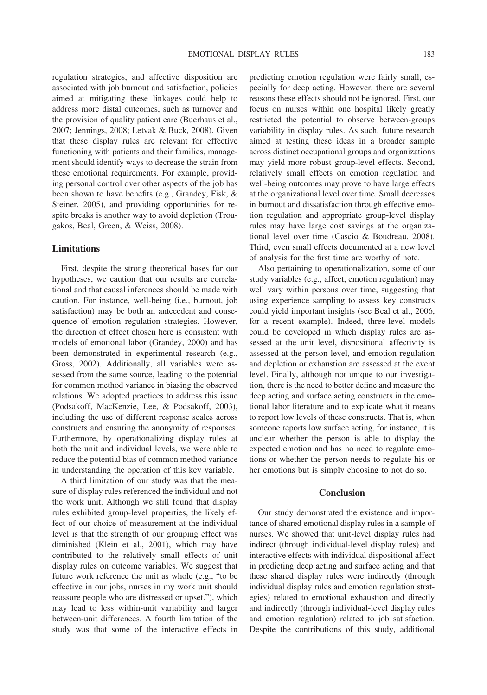regulation strategies, and affective disposition are associated with job burnout and satisfaction, policies aimed at mitigating these linkages could help to address more distal outcomes, such as turnover and the provision of quality patient care (Buerhaus et al., 2007; Jennings, 2008; Letvak & Buck, 2008). Given that these display rules are relevant for effective functioning with patients and their families, management should identify ways to decrease the strain from these emotional requirements. For example, providing personal control over other aspects of the job has been shown to have benefits (e.g., Grandey, Fisk, & Steiner, 2005), and providing opportunities for respite breaks is another way to avoid depletion (Trougakos, Beal, Green, & Weiss, 2008).

### **Limitations**

First, despite the strong theoretical bases for our hypotheses, we caution that our results are correlational and that causal inferences should be made with caution. For instance, well-being (i.e., burnout, job satisfaction) may be both an antecedent and consequence of emotion regulation strategies. However, the direction of effect chosen here is consistent with models of emotional labor (Grandey, 2000) and has been demonstrated in experimental research (e.g., Gross, 2002). Additionally, all variables were assessed from the same source, leading to the potential for common method variance in biasing the observed relations. We adopted practices to address this issue (Podsakoff, MacKenzie, Lee, & Podsakoff, 2003), including the use of different response scales across constructs and ensuring the anonymity of responses. Furthermore, by operationalizing display rules at both the unit and individual levels, we were able to reduce the potential bias of common method variance in understanding the operation of this key variable.

A third limitation of our study was that the measure of display rules referenced the individual and not the work unit. Although we still found that display rules exhibited group-level properties, the likely effect of our choice of measurement at the individual level is that the strength of our grouping effect was diminished (Klein et al., 2001), which may have contributed to the relatively small effects of unit display rules on outcome variables. We suggest that future work reference the unit as whole (e.g., "to be effective in our jobs, nurses in my work unit should reassure people who are distressed or upset."), which may lead to less within-unit variability and larger between-unit differences. A fourth limitation of the study was that some of the interactive effects in

predicting emotion regulation were fairly small, especially for deep acting. However, there are several reasons these effects should not be ignored. First, our focus on nurses within one hospital likely greatly restricted the potential to observe between-groups variability in display rules. As such, future research aimed at testing these ideas in a broader sample across distinct occupational groups and organizations may yield more robust group-level effects. Second, relatively small effects on emotion regulation and well-being outcomes may prove to have large effects at the organizational level over time. Small decreases in burnout and dissatisfaction through effective emotion regulation and appropriate group-level display rules may have large cost savings at the organizational level over time (Cascio & Boudreau, 2008). Third, even small effects documented at a new level of analysis for the first time are worthy of note.

Also pertaining to operationalization, some of our study variables (e.g., affect, emotion regulation) may well vary within persons over time, suggesting that using experience sampling to assess key constructs could yield important insights (see Beal et al., 2006, for a recent example). Indeed, three-level models could be developed in which display rules are assessed at the unit level, dispositional affectivity is assessed at the person level, and emotion regulation and depletion or exhaustion are assessed at the event level. Finally, although not unique to our investigation, there is the need to better define and measure the deep acting and surface acting constructs in the emotional labor literature and to explicate what it means to report low levels of these constructs. That is, when someone reports low surface acting, for instance, it is unclear whether the person is able to display the expected emotion and has no need to regulate emotions or whether the person needs to regulate his or her emotions but is simply choosing to not do so.

#### **Conclusion**

Our study demonstrated the existence and importance of shared emotional display rules in a sample of nurses. We showed that unit-level display rules had indirect (through individual-level display rules) and interactive effects with individual dispositional affect in predicting deep acting and surface acting and that these shared display rules were indirectly (through individual display rules and emotion regulation strategies) related to emotional exhaustion and directly and indirectly (through individual-level display rules and emotion regulation) related to job satisfaction. Despite the contributions of this study, additional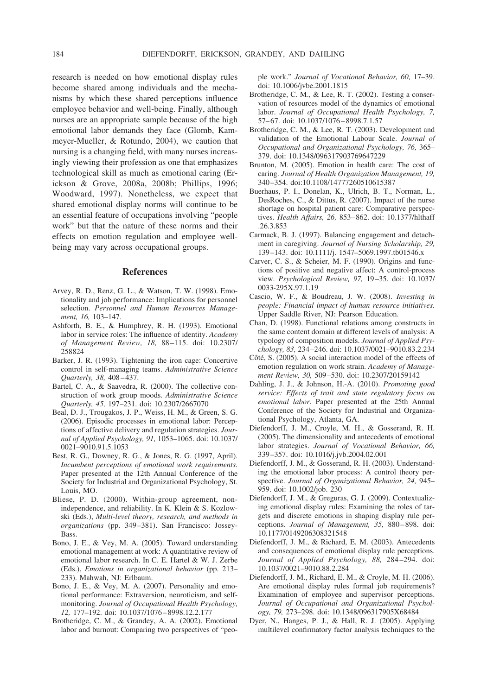research is needed on how emotional display rules become shared among individuals and the mechanisms by which these shared perceptions influence employee behavior and well-being. Finally, although nurses are an appropriate sample because of the high emotional labor demands they face (Glomb, Kammeyer-Mueller, & Rotundo, 2004), we caution that nursing is a changing field, with many nurses increasingly viewing their profession as one that emphasizes technological skill as much as emotional caring (Erickson & Grove, 2008a, 2008b; Phillips, 1996; Woodward, 1997). Nonetheless, we expect that shared emotional display norms will continue to be an essential feature of occupations involving "people work" but that the nature of these norms and their effects on emotion regulation and employee wellbeing may vary across occupational groups.

#### **References**

- Arvey, R. D., Renz, G. L., & Watson, T. W. (1998). Emotionality and job performance: Implications for personnel selection. *Personnel and Human Resources Management, 16,* 103–147.
- Ashforth, B. E., & Humphrey, R. H. (1993). Emotional labor in service roles: The influence of identity. *Academy of Management Review, 18,* 88 –115. doi: 10.2307/ 258824
- Barker, J. R. (1993). Tightening the iron cage: Concertive control in self-managing teams. *Administrative Science Quarterly, 38,* 408 – 437.
- Bartel, C. A., & Saavedra, R. (2000). The collective construction of work group moods. *Administrative Science Quarterly, 45,* 197–231. doi: 10.2307/2667070
- Beal, D. J., Trougakos, J. P., Weiss, H. M., & Green, S. G. (2006). Episodic processes in emotional labor: Perceptions of affective delivery and regulation strategies. *Journal of Applied Psychology, 91,* 1053–1065. doi: 10.1037/ 0021–9010.91.5.1053
- Best, R. G., Downey, R. G., & Jones, R. G. (1997, April). *Incumbent perceptions of emotional work requirements.* Paper presented at the 12th Annual Conference of the Society for Industrial and Organizational Psychology, St. Louis, MO.
- Bliese, P. D. (2000). Within-group agreement, nonindependence, and reliability. In K. Klein & S. Kozlowski (Eds.), *Multi-level theory, research, and methods in organizations* (pp. 349 –381). San Francisco: Jossey-Bass.
- Bono, J. E., & Vey, M. A. (2005). Toward understanding emotional management at work: A quantitative review of emotional labor research. In C. E. Hartel & W. J. Zerbe (Eds.), *Emotions in organizational behavior* (pp. 213– 233). Mahwah, NJ: Erlbaum.
- Bono, J. E., & Vey, M. A. (2007). Personality and emotional performance: Extraversion, neuroticism, and selfmonitoring. *Journal of Occupational Health Psychology, 12,* 177–192. doi: 10.1037/1076 – 8998.12.2.177
- Brotheridge, C. M., & Grandey, A. A. (2002). Emotional labor and burnout: Comparing two perspectives of "peo-

ple work." *Journal of Vocational Behavior, 60,* 17–39. doi: 10.1006/jvbe.2001.1815

- Brotheridge, C. M., & Lee, R. T. (2002). Testing a conservation of resources model of the dynamics of emotional labor. *Journal of Occupational Health Psychology, 7,* 57-67. doi: 10.1037/1076-8998.7.1.57
- Brotheridge, C. M., & Lee, R. T. (2003). Development and validation of the Emotional Labour Scale. *Journal of Occupational and Organizational Psychology, 76,* 365– 379. doi: 10.1348/096317903769647229
- Brunton, M. (2005). Emotion in health care: The cost of caring. *Journal of Health Organization Management, 19,* 340 –354. doi:10.1108/14777260510615387
- Buerhaus, P. I., Donelan, K., Ulrich, B. T., Norman, L., DesRoches, C., & Dittus, R. (2007). Impact of the nurse shortage on hospital patient care: Comparative perspectives. *Health Affairs, 26,* 853– 862. doi: 10.1377/hlthaff .26.3.853
- Carmack, B. J. (1997). Balancing engagement and detachment in caregiving. *Journal of Nursing Scholarship, 29,* 139 –143. doi: 10.1111/j. 1547–5069.1997.tb01546.x
- Carver, C. S., & Scheier, M. F. (1990). Origins and functions of positive and negative affect: A control-process view. *Psychological Review, 97,* 19 –35. doi: 10.1037/ 0033-295X.97.1.19
- Cascio, W. F., & Boudreau, J. W. (2008). *Investing in people: Financial impact of human resource initiatives.* Upper Saddle River, NJ: Pearson Education.
- Chan, D. (1998). Functional relations among constructs in the same content domain at different levels of analysis: A typology of composition models. *Journal of Applied Psychology, 83,* 234 –246. doi: 10.1037/0021–9010.83.2.234
- Côté, S. (2005). A social interaction model of the effects of emotion regulation on work strain. *Academy of Management Review, 30,* 509 –530. doi: 10.2307/20159142
- Dahling, J. J., & Johnson, H.-A. (2010). *Promoting good service: Effects of trait and state regulatory focus on emotional labor.* Paper presented at the 25th Annual Conference of the Society for Industrial and Organizational Psychology, Atlanta, GA.
- Diefendorff, J. M., Croyle, M. H., & Gosserand, R. H. (2005). The dimensionality and antecedents of emotional labor strategies. *Journal of Vocational Behavior, 66,* 339 –357. doi: 10.1016/j.jvb.2004.02.001
- Diefendorff, J. M., & Gosserand, R. H. (2003). Understanding the emotional labor process: A control theory perspective. *Journal of Organizational Behavior, 24,* 945– 959. doi: 10.1002/job. 230
- Diefendorff, J. M., & Greguras, G. J. (2009). Contextualizing emotional display rules: Examining the roles of targets and discrete emotions in shaping display rule perceptions. *Journal of Management*, 35, 880-898. doi: 10.1177/0149206308321548
- Diefendorff, J. M., & Richard, E. M. (2003). Antecedents and consequences of emotional display rule perceptions. *Journal of Applied Psychology, 88,* 284 –294. doi: 10.1037/0021–9010.88.2.284
- Diefendorff, J. M., Richard, E. M., & Croyle, M. H. (2006). Are emotional display rules formal job requirements? Examination of employee and supervisor perceptions. *Journal of Occupational and Organizational Psychology, 79,* 273–298. doi: 10.1348/096317905X68484
- Dyer, N., Hanges, P. J., & Hall, R. J. (2005). Applying multilevel confirmatory factor analysis techniques to the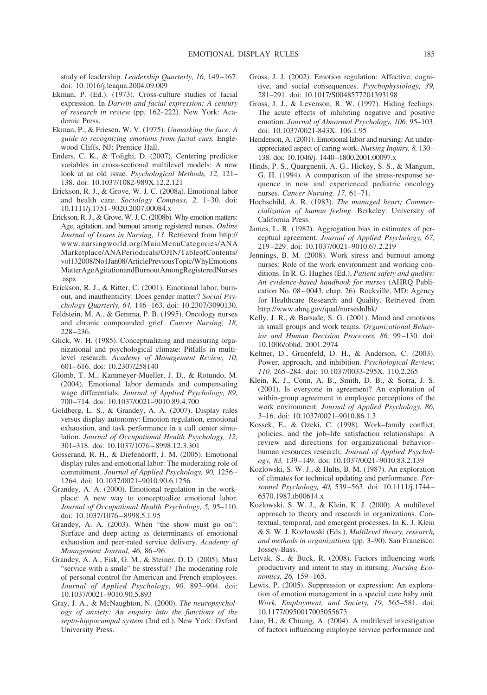study of leadership. *Leadership Quarterly, 16,* 149 –167. doi: 10.1016/j.leaqua.2004.09.009

- Ekman, P. (Ed.). (1973). Cross-culture studies of facial expression. In *Darwin and facial expression: A century of research in review* (pp. 162–222). New York: Academic Press.
- Ekman, P., & Friesen, W. V. (1975). *Unmasking the face: A guide to recognizing emotions from facial cues.* Englewood Cliffs, NJ: Prentice Hall.
- Enders, C. K., & Tofighi, D. (2007). Centering predictor variables in cross-sectional multilevel models: A new look at an old issue. *Psychological Methods, 12,* 121– 138. doi: 10.1037/1082-989X.12.2.121
- Erickson, R. J., & Grove, W. J. C. (2008a). Emotional labor and health care. *Sociology Compass, 2,* 1–30. doi: 10.1111/j.1751–9020.2007.00084.x
- Erickson, R. J., & Grove, W. J. C. (2008b). Why emotion matters: Age, agitation, and burnout among registered nurses. *Online Journal of Issues in Nursing, 13*. Retrieved from http:// www.nursingworld.org/MainMenuCategories/ANA Marketplace/ANAPeriodicals/OJIN/TableofContents/ vol132008/No1Jan08/ArticlePreviousTopic/WhyEmotions MatterAgeAgitationandBurnoutAmongRegisteredNurses .aspx
- Erickson, R. J., & Ritter, C. (2001). Emotional labor, burnout, and inauthenticity: Does gender matter? *Social Psychology Quarterly, 64,* 146 –163. doi: 10.2307/3090130.
- Feldstein, M. A., & Gemma, P. B. (1995). Oncology nurses and chronic compounded grief. *Cancer Nursing, 18,* 228 –236.
- Glick, W. H. (1985). Conceptualizing and measuring organizational and psychological climate: Pitfalls in multilevel research. *Academy of Management Review, 10,* 601– 616. doi: 10.2307/258140
- Glomb, T. M., Kammeyer-Mueller, J. D., & Rotundo, M. (2004). Emotional labor demands and compensating wage differentials. *Journal of Applied Psychology, 89,* 700 –714. doi: 10.1037/0021–9010.89.4.700
- Goldberg, L. S., & Grandey, A. A. (2007). Display rules versus display autonomy: Emotion regulation, emotional exhaustion, and task performance in a call center simulation. *Journal of Occupational Health Psychology, 12,* 301–318. doi: 10.1037/1076 – 8998.12.3.301
- Gosserand, R. H., & Diefendorff, J. M. (2005). Emotional display rules and emotional labor: The moderating role of commitment. *Journal of Applied Psychology, 90,* 1256 – 1264. doi: 10.1037/0021–9010.90.6.1256
- Grandey, A. A. (2000). Emotional regulation in the workplace: A new way to conceptualize emotional labor. *Journal of Occupational Health Psychology, 5,* 95–110. doi: 10.1037/1076 – 8998.5.1.95
- Grandey, A. A. (2003). When "the show must go on": Surface and deep acting as determinants of emotional exhaustion and peer-rated service delivery. *Academy of Management Journal, 46,* 86 –96.
- Grandey, A. A., Fisk, G. M., & Steiner, D. D. (2005). Must "service with a smile" be stressful? The moderating role of personal control for American and French employees. *Journal of Applied Psychology, 90,* 893–904. doi: 10.1037/0021–9010.90.5.893
- Gray, J. A., & McNaughton, N. (2000). *The neuropsychology of anxiety: An enquiry into the functions of the septo-hippocampal system* (2nd ed.). New York: Oxford University Press.
- Gross, J. J. (2002). Emotion regulation: Affective, cognitive, and social consequences. *Psychophysiology, 39,* 281–291. doi: 10.1017/S0048577201393198
- Gross, J. J., & Levenson, R. W. (1997). Hiding feelings: The acute effects of inhibiting negative and positive emotion. *Journal of Abnormal Psychology, 106,* 95–103. doi: 10.1037/0021-843X. 106.1.95
- Henderson, A. (2001). Emotional labor and nursing: An underappreciated aspect of caring work. *Nursing Inquiry, 8,* 130 – 138. doi: 10.1046/j. 1440 –1800.2001.00097.x
- Hinds, P. S., Quargnenti, A. G., Hickey, S. S., & Mangum, G. H. (1994). A comparison of the stress-response sequence in new and experienced pediatric oncology nurses. *Cancer Nursing, 17,* 61–71.
- Hochschild, A. R. (1983). *The managed heart; Commercialization of human feeling.* Berkeley: University of California Press.
- James, L. R. (1982). Aggregation bias in estimates of perceptual agreement. *Journal of Applied Psychology, 67,* 219 –229. doi: 10.1037/0021–9010.67.2.219
- Jennings, B. M. (2008). Work stress and burnout among nurses: Role of the work environment and working conditions. In R. G. Hughes (Ed.), *Patient safety and quality: An evidence-based handbook for nurses* (AHRQ Publication No. 08 – 0043, chap. 26). Rockville, MD: Agency for Healthcare Research and Quality. Retrieved from http://www.ahrq.gov/qual/nurseshdbk/
- Kelly, J. R., & Barsade, S. G. (2001). Mood and emotions in small groups and work teams. *Organizational Behavior and Human Decision Processes, 86,* 99 –130. doi: 10.1006/obhd. 2001.2974
- Keltner, D., Gruenfeld, D. H., & Anderson, C. (2003). Power, approach, and inhibition. *Psychological Review, 110,* 265–284. doi: 10.1037/0033-295X. 110.2.265
- Klein, K. J., Conn, A. B., Smith, D. B., & Sorra, J. S. (2001). Is everyone in agreement? An exploration of within-group agreement in employee perceptions of the work environment. *Journal of Applied Psychology, 86,* 3–16. doi: 10.1037/0021–9010.86.1.3
- Kossek, E., & Ozeki, C. (1998). Work–family conflict, policies, and the job–life satisfaction relationships: A review and directions for organizational behavior– human resources research; *Journal of Applied Psychology, 83,* 139 –149. doi: 10.1037/0021–9010.83.2.139
- Kozlowski, S. W. J., & Hults, B. M. (1987). An exploration of climates for technical updating and performance. *Personnel Psychology, 40,* 539 –563. doi: 10.1111/j.1744 – 6570.1987.tb00614.x
- Kozlowski, S. W. J., & Klein, K. J. (2000). A multilevel approach to theory and research in organizations. Contextual, temporal, and emergent processes. In K. J. Klein & S. W. J. Kozlowski (Eds.), *Multilevel theory, research, and methods in organizations* (pp. 3–90). San Francisco: Jossey-Bass.
- Letvak, S., & Buck, R. (2008). Factors influencing work productivity and intent to stay in nursing. *Nursing Economics, 26,* 159 –165.
- Lewis, P. (2005). Suppression or expression: An exploration of emotion management in a special care baby unit. *Work, Employment, and Society, 19,* 565–581. doi: 10.1177/0950017005055673
- Liao, H., & Chuang, A. (2004). A multilevel investigation of factors influencing employee service performance and